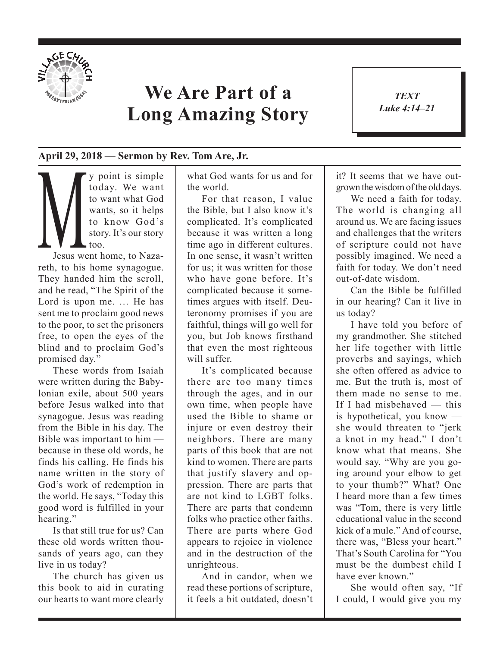

## **We Are Part of a Long Amazing Story**

*TEXT Luke 4:14–21*

1

## **April 29, 2018 — Sermon by Rev. Tom Are, Jr.**

My point is simple<br>today. We want<br>to want what God<br>wants, so it helps<br>to know God's<br>story. It's our story<br>loo.<br>Jesus went home, to Nazatoday. We want to want what God wants, so it helps to know God's story. It's our story too.

Jesus went home, to Nazareth, to his home synagogue. They handed him the scroll, and he read, "The Spirit of the Lord is upon me. … He has sent me to proclaim good news to the poor, to set the prisoners free, to open the eyes of the blind and to proclaim God's promised day."

These words from Isaiah were written during the Babylonian exile, about 500 years before Jesus walked into that synagogue. Jesus was reading from the Bible in his day. The Bible was important to him because in these old words, he finds his calling. He finds his name written in the story of God's work of redemption in the world. He says, "Today this good word is fulfilled in your hearing."

Is that still true for us? Can these old words written thousands of years ago, can they live in us today?

The church has given us this book to aid in curating our hearts to want more clearly what God wants for us and for the world.

For that reason, I value the Bible, but I also know it's complicated. It's complicated because it was written a long time ago in different cultures. In one sense, it wasn't written for us; it was written for those who have gone before. It's complicated because it sometimes argues with itself. Deuteronomy promises if you are faithful, things will go well for you, but Job knows firsthand that even the most righteous will suffer.

It's complicated because there are too many times through the ages, and in our own time, when people have used the Bible to shame or injure or even destroy their neighbors. There are many parts of this book that are not kind to women. There are parts that justify slavery and oppression. There are parts that are not kind to LGBT folks. There are parts that condemn folks who practice other faiths. There are parts where God appears to rejoice in violence and in the destruction of the unrighteous.

And in candor, when we read these portions of scripture, it feels a bit outdated, doesn't it? It seems that we have outgrown the wisdom of the old days.

We need a faith for today. The world is changing all around us. We are facing issues and challenges that the writers of scripture could not have possibly imagined. We need a faith for today. We don't need out-of-date wisdom.

Can the Bible be fulfilled in our hearing? Can it live in us today?

I have told you before of my grandmother. She stitched her life together with little proverbs and sayings, which she often offered as advice to me. But the truth is, most of them made no sense to me. If I had misbehaved — this is hypothetical, you know she would threaten to "jerk a knot in my head." I don't know what that means. She would say, "Why are you going around your elbow to get to your thumb?" What? One I heard more than a few times was "Tom, there is very little educational value in the second kick of a mule." And of course, there was, "Bless your heart." That's South Carolina for "You must be the dumbest child I have ever known."

She would often say, "If I could, I would give you my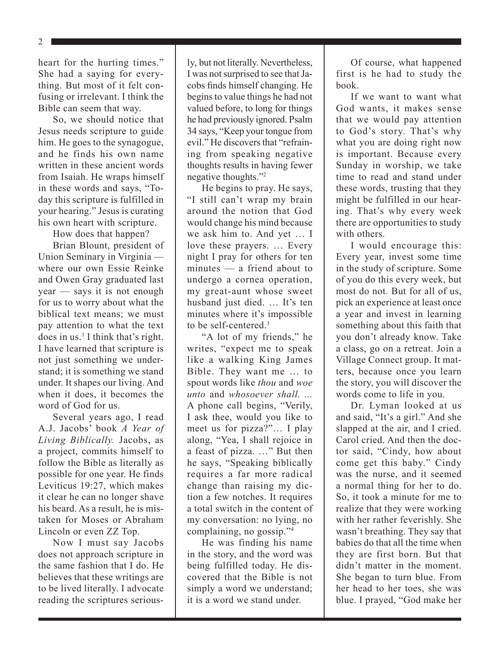2

heart for the hurting times." She had a saying for everything. But most of it felt confusing or irrelevant. I think the Bible can seem that way.

So, we should notice that Jesus needs scripture to guide him. He goes to the synagogue, and he finds his own name written in these ancient words from Isaiah. He wraps himself in these words and says, "Today this scripture is fulfilled in your hearing." Jesus is curating his own heart with scripture.

How does that happen?

Brian Blount, president of Union Seminary in Virginia where our own Essie Reinke and Owen Gray graduated last year — says it is not enough for us to worry about what the biblical text means; we must pay attention to what the text does in us.<sup>1</sup> I think that's right. I have learned that scripture is not just something we understand; it is something we stand under. It shapes our living. And when it does, it becomes the word of God for us.

Several years ago, I read A.J. Jacobs' book *A Year of Living Biblically.* Jacobs, as a project, commits himself to follow the Bible as literally as possible for one year. He finds Leviticus 19:27, which makes it clear he can no longer shave his beard. As a result, he is mistaken for Moses or Abraham Lincoln or even ZZ Top.

Now I must say Jacobs does not approach scripture in the same fashion that I do. He believes that these writings are to be lived literally. I advocate reading the scriptures seriously, but not literally. Nevertheless, I was not surprised to see that Jacobs finds himself changing. He begins to value things he had not valued before, to long for things he had previously ignored. Psalm 34 says, "Keep your tongue from evil." He discovers that "refraining from speaking negative thoughts results in having fewer negative thoughts."2

He begins to pray. He says, "I still can't wrap my brain around the notion that God would change his mind because we ask him to. And yet … I love these prayers. … Every night I pray for others for ten minutes — a friend about to undergo a cornea operation, my great-aunt whose sweet husband just died. … It's ten minutes where it's impossible to be self-centered.3

"A lot of my friends," he writes, "expect me to speak like a walking King James Bible. They want me … to spout words like *thou* and *woe unto* and *whosoever shall. ...* A phone call begins, "Verily, I ask thee, would you like to meet us for pizza?"… I play along, "Yea, I shall rejoice in a feast of pizza. …" But then he says, "Speaking biblically requires a far more radical change than raising my diction a few notches. It requires a total switch in the content of my conversation: no lying, no complaining, no gossip."4

He was finding his name in the story, and the word was being fulfilled today. He discovered that the Bible is not simply a word we understand; it is a word we stand under.

Of course, what happened first is he had to study the book.

If we want to want what God wants, it makes sense that we would pay attention to God's story. That's why what you are doing right now is important. Because every Sunday in worship, we take time to read and stand under these words, trusting that they might be fulfilled in our hearing. That's why every week there are opportunities to study with others.

I would encourage this: Every year, invest some time in the study of scripture. Some of you do this every week, but most do not. But for all of us, pick an experience at least once a year and invest in learning something about this faith that you don't already know. Take a class, go on a retreat. Join a Village Connect group. It matters, because once you learn the story, you will discover the words come to life in you.

Dr. Lyman looked at us and said, "It's a girl." And she slapped at the air, and I cried. Carol cried. And then the doctor said, "Cindy, how about come get this baby." Cindy was the nurse, and it seemed a normal thing for her to do. So, it took a minute for me to realize that they were working with her rather feverishly. She wasn't breathing. They say that babies do that all the time when they are first born. But that didn't matter in the moment. She began to turn blue. From her head to her toes, she was blue. I prayed, "God make her